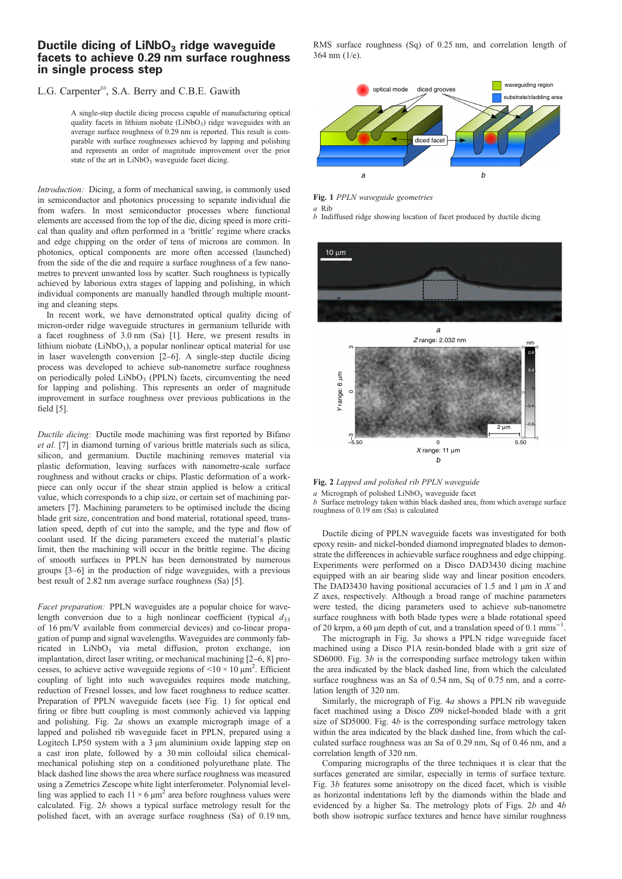## Ductile dicing of  $LiNbO<sub>3</sub>$  ridge waveguide facets to achieve 0.29 nm surface roughness in single process step

## L.G. Carpenter<sup>®</sup>, S.A. Berry and C.B.E. Gawith

A single-step ductile dicing process capable of manufacturing optical quality facets in lithium niobate  $(LiNbO<sub>3</sub>)$  ridge waveguides with an average surface roughness of 0.29 nm is reported. This result is comparable with surface roughnesses achieved by lapping and polishing and represents an order of magnitude improvement over the prior state of the art in LiNbO<sub>3</sub> waveguide facet dicing.

Introduction: Dicing, a form of mechanical sawing, is commonly used in semiconductor and photonics processing to separate individual die from wafers. In most semiconductor processes where functional elements are accessed from the top of the die, dicing speed is more critical than quality and often performed in a 'brittle' regime where cracks and edge chipping on the order of tens of microns are common. In photonics, optical components are more often accessed (launched) from the side of the die and require a surface roughness of a few nanometres to prevent unwanted loss by scatter. Such roughness is typically achieved by laborious extra stages of lapping and polishing, in which individual components are manually handled through multiple mounting and cleaning steps.

In recent work, we have demonstrated optical quality dicing of micron-order ridge waveguide structures in germanium telluride with a facet roughness of 3.0 nm (Sa) [\[1](#page-1-0)]. Here, we present results in lithium niobate  $(LiNbO<sub>3</sub>)$ , a popular nonlinear optical material for use in laser wavelength conversion [\[2](#page-1-0)–[6](#page-1-0)]. A single-step ductile dicing process was developed to achieve sub-nanometre surface roughness on periodically poled LiNbO<sub>3</sub> (PPLN) facets, circumventing the need for lapping and polishing. This represents an order of magnitude improvement in surface roughness over previous publications in the field [\[5\]](#page-1-0).

Ductile dicing: Ductile mode machining was first reported by Bifano et al. [[7](#page-1-0)] in diamond turning of various brittle materials such as silica, silicon, and germanium. Ductile machining removes material via plastic deformation, leaving surfaces with nanometre-scale surface roughness and without cracks or chips. Plastic deformation of a workpiece can only occur if the shear strain applied is below a critical value, which corresponds to a chip size, or certain set of machining parameters [[7](#page-1-0)]. Machining parameters to be optimised include the dicing blade grit size, concentration and bond material, rotational speed, translation speed, depth of cut into the sample, and the type and flow of coolant used. If the dicing parameters exceed the material's plastic limit, then the machining will occur in the brittle regime. The dicing of smooth surfaces in PPLN has been demonstrated by numerous groups [\[3](#page-1-0)–[6\]](#page-1-0) in the production of ridge waveguides, with a previous best result of 2.82 nm average surface roughness (Sa) [[5\]](#page-1-0).

Facet preparation: PPLN waveguides are a popular choice for wavelength conversion due to a high nonlinear coefficient (typical  $d_{33}$ ) of 16 pm/V available from commercial devices) and co-linear propagation of pump and signal wavelengths. Waveguides are commonly fabricated in LiNbO<sub>3</sub> via metal diffusion, proton exchange, ion implantation, direct laser writing, or mechanical machining [\[2](#page-1-0)–[6](#page-1-0), [8](#page-1-0)] processes, to achieve active waveguide regions of  $\leq 10 \times 10 \mu m^2$ . Efficient coupling of light into such waveguides requires mode matching, reduction of Fresnel losses, and low facet roughness to reduce scatter. Preparation of PPLN waveguide facets (see Fig. 1) for optical end firing or fibre butt coupling is most commonly achieved via lapping and polishing. Fig. 2a shows an example micrograph image of a lapped and polished rib waveguide facet in PPLN, prepared using a Logitech LP50 system with a 3  $\mu$ m aluminium oxide lapping step on a cast iron plate, followed by a 30 min colloidal silica chemicalmechanical polishing step on a conditioned polyurethane plate. The black dashed line shows the area where surface roughness was measured using a Zemetrics Zescope white light interferometer. Polynomial levelling was applied to each  $11 \times 6 \mu m^2$  area before roughness values were calculated. Fig. 2b shows a typical surface metrology result for the polished facet, with an average surface roughness (Sa) of 0.19 nm,

RMS surface roughness (Sq) of 0.25 nm, and correlation length of 364 nm (1/e).



Fig. 1 PPLN waveguide geometries

a Rib

b Indiffused ridge showing location of facet produced by ductile dicing



Fig. 2 Lapped and polished rib PPLN waveguide  $a$  Micrograph of polished LiNbO<sub>3</sub> waveguide facet b Surface metrology taken within black dashed area, from which average surface roughness of 0.19 nm (Sa) is calculated

Ductile dicing of PPLN waveguide facets was investigated for both epoxy resin- and nickel-bonded diamond impregnated blades to demonstrate the differences in achievable surface roughness and edge chipping. Experiments were performed on a Disco DAD3430 dicing machine equipped with an air bearing slide way and linear position encoders. The DAD3430 having positional accuracies of 1.5 and 1  $\mu$ m in X and Z axes, respectively. Although a broad range of machine parameters were tested, the dicing parameters used to achieve sub-nanometre surface roughness with both blade types were a blade rotational speed of 20 krpm, a 60 µm depth of cut, and a translation speed of 0.1 mms<sup>−</sup> .

The micrograph in Fig. [3](#page-1-0)a shows a PPLN ridge waveguide facet machined using a Disco P1A resin-bonded blade with a grit size of SD6000. Fig. [3](#page-1-0)b is the corresponding surface metrology taken within the area indicated by the black dashed line, from which the calculated surface roughness was an Sa of 0.54 nm, Sq of 0.75 nm, and a correlation length of 320 nm.

Similarly, the micrograph of Fig. [4](#page-1-0)a shows a PPLN rib waveguide facet machined using a Disco Z09 nickel-bonded blade with a grit size of SD5000. Fig. [4](#page-1-0)b is the corresponding surface metrology taken within the area indicated by the black dashed line, from which the calculated surface roughness was an Sa of 0.29 nm, Sq of 0.46 nm, and a correlation length of 320 nm.

Comparing micrographs of the three techniques it is clear that the surfaces generated are similar, especially in terms of surface texture. Fig. [3](#page-1-0)b features some anisotropy on the diced facet, which is visible as horizontal indentations left by the diamonds within the blade and evidenced by a higher Sa. The metrology plots of Figs. 2b and [4](#page-1-0)b both show isotropic surface textures and hence have similar roughness